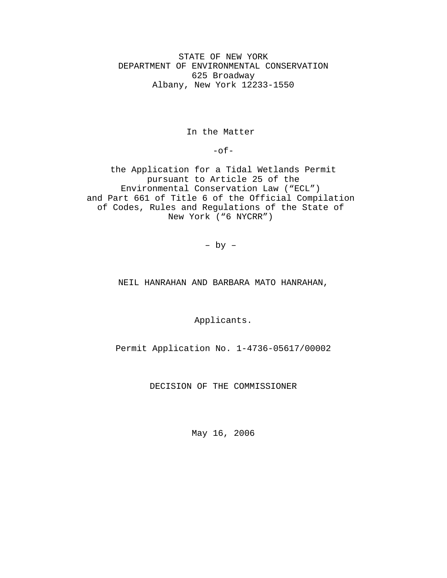STATE OF NEW YORK DEPARTMENT OF ENVIRONMENTAL CONSERVATION 625 Broadway Albany, New York 12233-1550

In the Matter

 $-$ of $-$ 

the Application for a Tidal Wetlands Permit pursuant to Article 25 of the Environmental Conservation Law ("ECL") and Part 661 of Title 6 of the Official Compilation of Codes, Rules and Regulations of the State of New York ("6 NYCRR")

– by –

NEIL HANRAHAN AND BARBARA MATO HANRAHAN,

Applicants.

Permit Application No. 1-4736-05617/00002

DECISION OF THE COMMISSIONER

May 16, 2006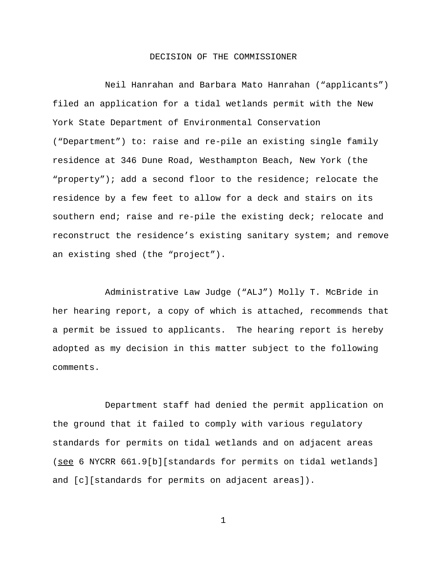# DECISION OF THE COMMISSIONER

Neil Hanrahan and Barbara Mato Hanrahan ("applicants") filed an application for a tidal wetlands permit with the New York State Department of Environmental Conservation ("Department") to: raise and re-pile an existing single family residence at 346 Dune Road, Westhampton Beach, New York (the "property"); add a second floor to the residence; relocate the residence by a few feet to allow for a deck and stairs on its southern end; raise and re-pile the existing deck; relocate and reconstruct the residence's existing sanitary system; and remove an existing shed (the "project").

Administrative Law Judge ("ALJ") Molly T. McBride in her hearing report, a copy of which is attached, recommends that a permit be issued to applicants. The hearing report is hereby adopted as my decision in this matter subject to the following comments.

Department staff had denied the permit application on the ground that it failed to comply with various regulatory standards for permits on tidal wetlands and on adjacent areas (see 6 NYCRR 661.9[b][standards for permits on tidal wetlands] and [c][standards for permits on adjacent areas]).

1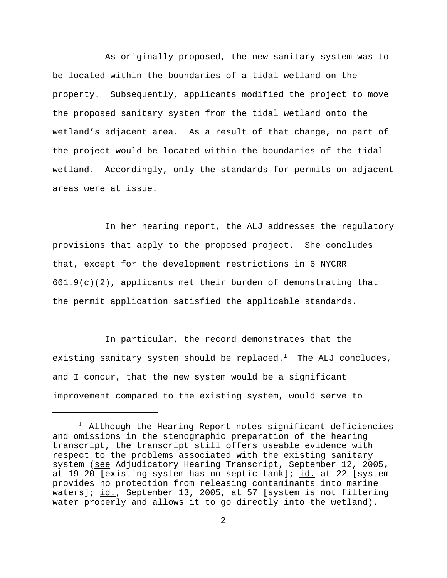As originally proposed, the new sanitary system was to be located within the boundaries of a tidal wetland on the property. Subsequently, applicants modified the project to move the proposed sanitary system from the tidal wetland onto the wetland's adjacent area. As a result of that change, no part of the project would be located within the boundaries of the tidal wetland. Accordingly, only the standards for permits on adjacent areas were at issue.

In her hearing report, the ALJ addresses the regulatory provisions that apply to the proposed project. She concludes that, except for the development restrictions in 6 NYCRR  $661.9(c)(2)$ , applicants met their burden of demonstrating that the permit application satisfied the applicable standards.

In particular, the record demonstrates that the existing sanitary system should be replaced.<sup>1</sup> The ALJ concludes, and I concur, that the new system would be a significant improvement compared to the existing system, would serve to

<sup>&</sup>lt;sup>1</sup> Although the Hearing Report notes significant deficiencies and omissions in the stenographic preparation of the hearing transcript, the transcript still offers useable evidence with respect to the problems associated with the existing sanitary system (see Adjudicatory Hearing Transcript, September 12, 2005, at 19-20 [existing system has no septic tank]; id. at 22 [system provides no protection from releasing contaminants into marine waters]; id., September 13, 2005, at 57 [system is not filtering water properly and allows it to go directly into the wetland).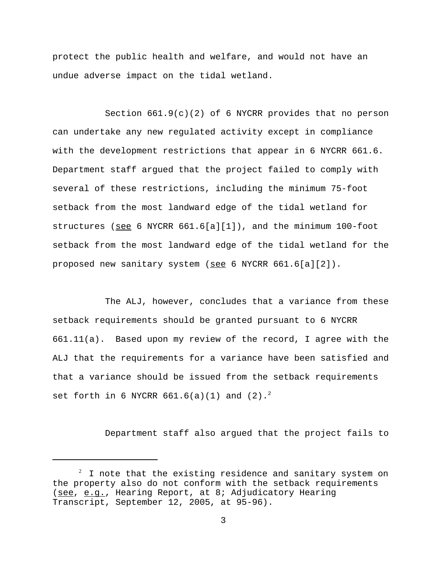protect the public health and welfare, and would not have an undue adverse impact on the tidal wetland.

Section  $661.9(c)(2)$  of 6 NYCRR provides that no person can undertake any new regulated activity except in compliance with the development restrictions that appear in 6 NYCRR 661.6. Department staff argued that the project failed to comply with several of these restrictions, including the minimum 75-foot setback from the most landward edge of the tidal wetland for structures (see 6 NYCRR 661.6[a][1]), and the minimum 100-foot setback from the most landward edge of the tidal wetland for the proposed new sanitary system (see 6 NYCRR 661.6[a][2]).

The ALJ, however, concludes that a variance from these setback requirements should be granted pursuant to 6 NYCRR 661.11(a). Based upon my review of the record, I agree with the ALJ that the requirements for a variance have been satisfied and that a variance should be issued from the setback requirements set forth in 6 NYCRR  $661.6(a)(1)$  and  $(2).^{2}$ 

Department staff also argued that the project fails to

 $2$  I note that the existing residence and sanitary system on the property also do not conform with the setback requirements (see, e.g., Hearing Report, at 8; Adjudicatory Hearing Transcript, September 12, 2005, at 95-96).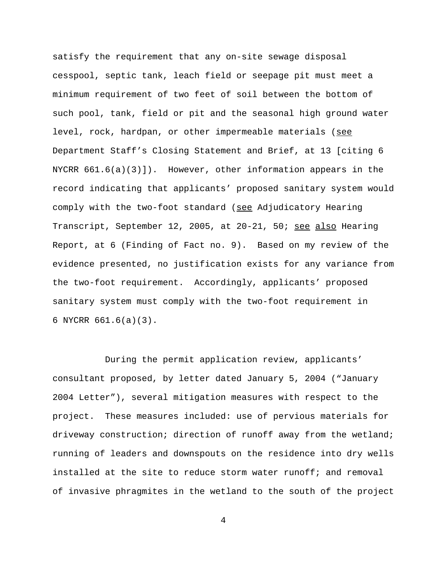satisfy the requirement that any on-site sewage disposal cesspool, septic tank, leach field or seepage pit must meet a minimum requirement of two feet of soil between the bottom of such pool, tank, field or pit and the seasonal high ground water level, rock, hardpan, or other impermeable materials (see Department Staff's Closing Statement and Brief, at 13 [citing 6 NYCRR  $661.6(a)(3)$ . However, other information appears in the record indicating that applicants' proposed sanitary system would comply with the two-foot standard (see Adjudicatory Hearing Transcript, September 12, 2005, at 20-21, 50; see also Hearing Report, at 6 (Finding of Fact no. 9). Based on my review of the evidence presented, no justification exists for any variance from the two-foot requirement. Accordingly, applicants' proposed sanitary system must comply with the two-foot requirement in 6 NYCRR 661.6(a)(3).

During the permit application review, applicants' consultant proposed, by letter dated January 5, 2004 ("January 2004 Letter"), several mitigation measures with respect to the project. These measures included: use of pervious materials for driveway construction; direction of runoff away from the wetland; running of leaders and downspouts on the residence into dry wells installed at the site to reduce storm water runoff; and removal of invasive phragmites in the wetland to the south of the project

4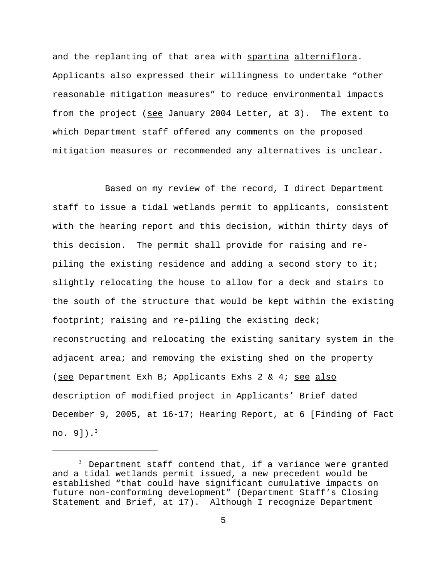and the replanting of that area with spartina alterniflora. Applicants also expressed their willingness to undertake "other reasonable mitigation measures" to reduce environmental impacts from the project (see January 2004 Letter, at 3). The extent to which Department staff offered any comments on the proposed mitigation measures or recommended any alternatives is unclear.

Based on my review of the record, I direct Department staff to issue a tidal wetlands permit to applicants, consistent with the hearing report and this decision, within thirty days of this decision. The permit shall provide for raising and repiling the existing residence and adding a second story to it; slightly relocating the house to allow for a deck and stairs to the south of the structure that would be kept within the existing footprint; raising and re-piling the existing deck; reconstructing and relocating the existing sanitary system in the adjacent area; and removing the existing shed on the property (see Department Exh B; Applicants Exhs 2 & 4; see also description of modified project in Applicants' Brief dated December 9, 2005, at 16-17; Hearing Report, at 6 [Finding of Fact no.  $9]$ ).<sup>3</sup>

 $3$  Department staff contend that, if a variance were granted and a tidal wetlands permit issued, a new precedent would be established "that could have significant cumulative impacts on future non-conforming development" (Department Staff's Closing Statement and Brief, at 17). Although I recognize Department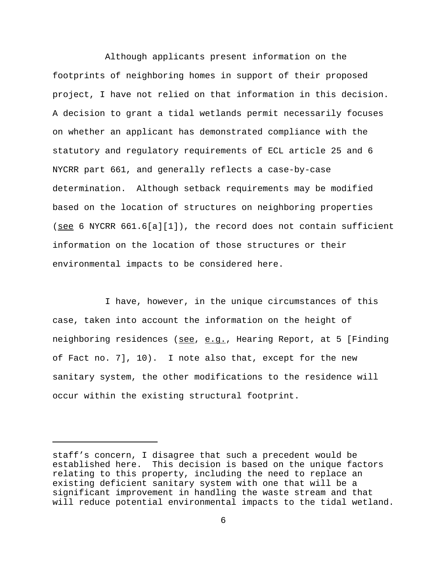Although applicants present information on the footprints of neighboring homes in support of their proposed project, I have not relied on that information in this decision. A decision to grant a tidal wetlands permit necessarily focuses on whether an applicant has demonstrated compliance with the statutory and regulatory requirements of ECL article 25 and 6 NYCRR part 661, and generally reflects a case-by-case determination. Although setback requirements may be modified based on the location of structures on neighboring properties (see 6 NYCRR  $661.6[a][1])$ , the record does not contain sufficient information on the location of those structures or their environmental impacts to be considered here.

I have, however, in the unique circumstances of this case, taken into account the information on the height of neighboring residences (see, e.g., Hearing Report, at 5 [Finding of Fact no. 7], 10). I note also that, except for the new sanitary system, the other modifications to the residence will occur within the existing structural footprint.

staff's concern, I disagree that such a precedent would be established here. This decision is based on the unique factors relating to this property, including the need to replace an existing deficient sanitary system with one that will be a significant improvement in handling the waste stream and that will reduce potential environmental impacts to the tidal wetland.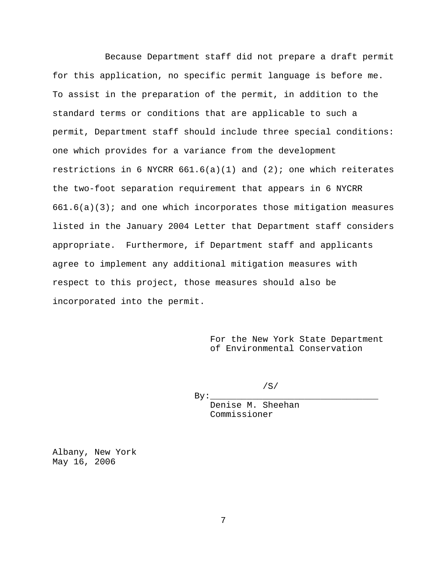Because Department staff did not prepare a draft permit for this application, no specific permit language is before me. To assist in the preparation of the permit, in addition to the standard terms or conditions that are applicable to such a permit, Department staff should include three special conditions: one which provides for a variance from the development restrictions in 6 NYCRR  $661.6(a)(1)$  and  $(2)$ ; one which reiterates the two-foot separation requirement that appears in 6 NYCRR  $661.6(a)(3)$ ; and one which incorporates those mitigation measures listed in the January 2004 Letter that Department staff considers appropriate. Furthermore, if Department staff and applicants agree to implement any additional mitigation measures with respect to this project, those measures should also be incorporated into the permit.

> For the New York State Department of Environmental Conservation

> > /S/

Denise M. Sheehan Commissioner

Albany, New York May 16, 2006

 $By:$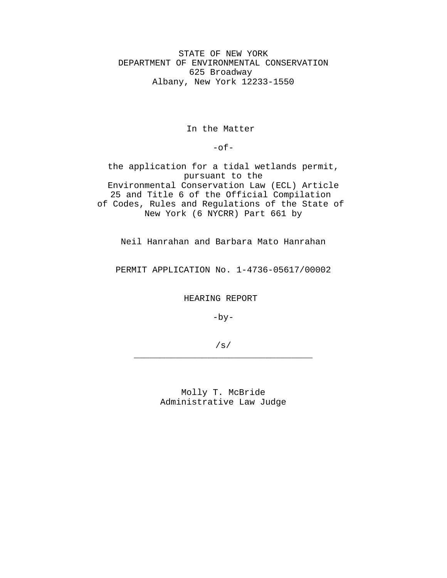STATE OF NEW YORK DEPARTMENT OF ENVIRONMENTAL CONSERVATION 625 Broadway Albany, New York 12233-1550

# In the Matter

 $-$ of $-$ 

the application for a tidal wetlands permit, pursuant to the Environmental Conservation Law (ECL) Article 25 and Title 6 of the Official Compilation of Codes, Rules and Regulations of the State of New York (6 NYCRR) Part 661 by

Neil Hanrahan and Barbara Mato Hanrahan

PERMIT APPLICATION No. 1-4736-05617/00002

HEARING REPORT

 $-by-$ 

/s/ \_\_\_\_\_\_\_\_\_\_\_\_\_\_\_\_\_\_\_\_\_\_\_\_\_\_\_\_\_\_\_\_\_\_

> Molly T. McBride Administrative Law Judge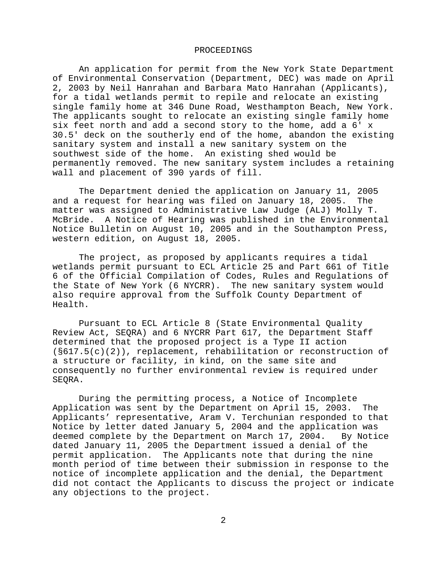#### PROCEEDINGS

An application for permit from the New York State Department of Environmental Conservation (Department, DEC) was made on April 2, 2003 by Neil Hanrahan and Barbara Mato Hanrahan (Applicants), for a tidal wetlands permit to repile and relocate an existing single family home at 346 Dune Road, Westhampton Beach, New York. The applicants sought to relocate an existing single family home six feet north and add a second story to the home, add a 6' x 30.5' deck on the southerly end of the home, abandon the existing sanitary system and install a new sanitary system on the southwest side of the home. An existing shed would be permanently removed. The new sanitary system includes a retaining wall and placement of 390 yards of fill.

The Department denied the application on January 11, 2005<br>request for hearing was filed on January 18, 2005. The and a request for hearing was filed on January 18, 2005. matter was assigned to Administrative Law Judge (ALJ) Molly T. McBride. A Notice of Hearing was published in the Environmental Notice Bulletin on August 10, 2005 and in the Southampton Press, western edition, on August 18, 2005.

The project, as proposed by applicants requires a tidal wetlands permit pursuant to ECL Article 25 and Part 661 of Title 6 of the Official Compilation of Codes, Rules and Regulations of the State of New York (6 NYCRR). The new sanitary system would also require approval from the Suffolk County Department of Health.

Pursuant to ECL Article 8 (State Environmental Quality Review Act, SEQRA) and 6 NYCRR Part 617, the Department Staff determined that the proposed project is a Type II action (§617.5(c)(2)), replacement, rehabilitation or reconstruction of a structure or facility, in kind, on the same site and consequently no further environmental review is required under SEQRA.

During the permitting process, a Notice of Incomplete Application was sent by the Department on April 15, 2003. The Applicants' representative, Aram V. Terchunian responded to that Notice by letter dated January 5, 2004 and the application was deemed complete by the Department on March 17, 2004. By Notice dated January 11, 2005 the Department issued a denial of the permit application. The Applicants note that during the nine month period of time between their submission in response to the notice of incomplete application and the denial, the Department did not contact the Applicants to discuss the project or indicate any objections to the project.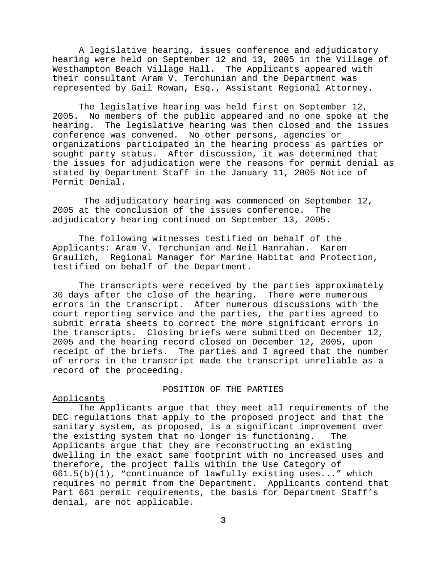A legislative hearing, issues conference and adjudicatory hearing were held on September 12 and 13, 2005 in the Village of Westhampton Beach Village Hall. The Applicants appeared with their consultant Aram V. Terchunian and the Department was represented by Gail Rowan, Esq., Assistant Regional Attorney.

The legislative hearing was held first on September 12,<br>2005. No members of the public appeared and no one spoke at No members of the public appeared and no one spoke at the hearing. The legislative hearing was then closed and the issues conference was convened. No other persons, agencies or organizations participated in the hearing process as parties or sought party status. After discussion, it was determined that the issues for adjudication were the reasons for permit denial as stated by Department Staff in the January 11, 2005 Notice of Permit Denial.

 The adjudicatory hearing was commenced on September 12, 2005 at the conclusion of the issues conference. The adjudicatory hearing continued on September 13, 2005.

The following witnesses testified on behalf of the Applicants: Aram V. Terchunian and Neil Hanrahan. Karen Graulich, Regional Manager for Marine Habitat and Protection, testified on behalf of the Department.

The transcripts were received by the parties approximately 30 days after the close of the hearing. There were numerous errors in the transcript. After numerous discussions with the court reporting service and the parties, the parties agreed to submit errata sheets to correct the more significant errors in the transcripts. Closing briefs were submitted on December 12, 2005 and the hearing record closed on December 12, 2005, upon receipt of the briefs. The parties and I agreed that the number of errors in the transcript made the transcript unreliable as a record of the proceeding.

## POSITION OF THE PARTIES

# Applicants

The Applicants argue that they meet all requirements of the DEC regulations that apply to the proposed project and that the sanitary system, as proposed, is a significant improvement over the existing system that no longer is functioning. The Applicants argue that they are reconstructing an existing dwelling in the exact same footprint with no increased uses and therefore, the project falls within the Use Category of 661.5(b)(1), "continuance of lawfully existing uses..." which requires no permit from the Department. Applicants contend that Part 661 permit requirements, the basis for Department Staff's denial, are not applicable.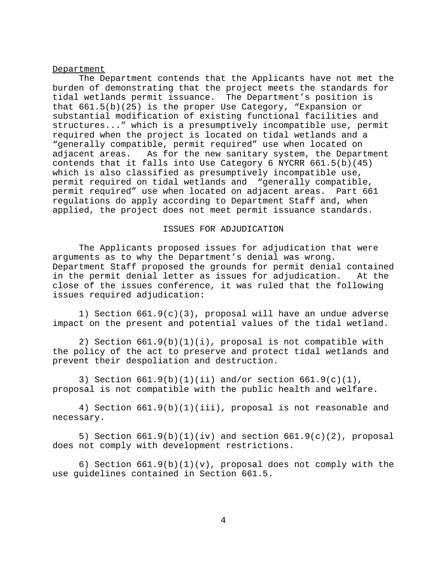#### Department

The Department contends that the Applicants have not met the burden of demonstrating that the project meets the standards for tidal wetlands permit issuance. The Department's position is that 661.5(b)(25) is the proper Use Category, "Expansion or substantial modification of existing functional facilities and structures..." which is a presumptively incompatible use, permit required when the project is located on tidal wetlands and a "generally compatible, permit required" use when located on adjacent areas. As for the new sanitary system, the Department contends that it falls into Use Category 6 NYCRR 661.5(b)(45) which is also classified as presumptively incompatible use, permit required on tidal wetlands and "generally compatible, permit required" use when located on adjacent areas. Part 661 regulations do apply according to Department Staff and, when applied, the project does not meet permit issuance standards.

## ISSUES FOR ADJUDICATION

The Applicants proposed issues for adjudication that were arguments as to why the Department's denial was wrong. Department Staff proposed the grounds for permit denial contained in the permit denial letter as issues for adjudication. At the close of the issues conference, it was ruled that the following issues required adjudication:

1) Section 661.9(c)(3), proposal will have an undue adverse impact on the present and potential values of the tidal wetland.

2) Section 661.9(b)(1)(i), proposal is not compatible with the policy of the act to preserve and protect tidal wetlands and prevent their despoliation and destruction.

3) Section  $661.9(b)(1)(iii)$  and/or section  $661.9(c)(1)$ , proposal is not compatible with the public health and welfare.

4) Section 661.9(b)(1)(iii), proposal is not reasonable and necessary.

5) Section  $661.9(b)(1)(iv)$  and section  $661.9(c)(2)$ , proposal does not comply with development restrictions.

6) Section 661.9(b)(1)(v), proposal does not comply with the use guidelines contained in Section 661.5.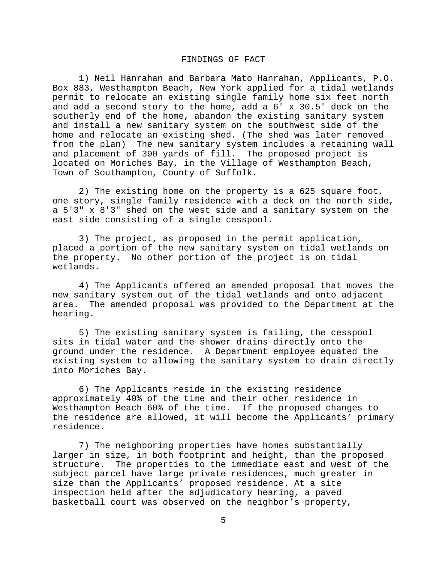### FINDINGS OF FACT

1) Neil Hanrahan and Barbara Mato Hanrahan, Applicants, P.O. Box 883, Westhampton Beach, New York applied for a tidal wetlands permit to relocate an existing single family home six feet north and add a second story to the home, add a 6' x 30.5' deck on the southerly end of the home, abandon the existing sanitary system and install a new sanitary system on the southwest side of the home and relocate an existing shed. (The shed was later removed from the plan) The new sanitary system includes a retaining wall and placement of 390 yards of fill. The proposed project is located on Moriches Bay, in the Village of Westhampton Beach, Town of Southampton, County of Suffolk.

2) The existing home on the property is a 625 square foot, one story, single family residence with a deck on the north side, a 5'3" x 8'3" shed on the west side and a sanitary system on the east side consisting of a single cesspool.

3) The project, as proposed in the permit application, placed a portion of the new sanitary system on tidal wetlands on the property. No other portion of the project is on tidal wetlands.

4) The Applicants offered an amended proposal that moves the new sanitary system out of the tidal wetlands and onto adjacent area. The amended proposal was provided to the Department at the hearing.

5) The existing sanitary system is failing, the cesspool sits in tidal water and the shower drains directly onto the ground under the residence. A Department employee equated the existing system to allowing the sanitary system to drain directly into Moriches Bay.

6) The Applicants reside in the existing residence approximately 40% of the time and their other residence in Westhampton Beach 60% of the time. If the proposed changes to the residence are allowed, it will become the Applicants' primary residence.

7) The neighboring properties have homes substantially larger in size, in both footprint and height, than the proposed structure. The properties to the immediate east and west of the subject parcel have large private residences, much greater in size than the Applicants' proposed residence. At a site inspection held after the adjudicatory hearing, a paved basketball court was observed on the neighbor's property,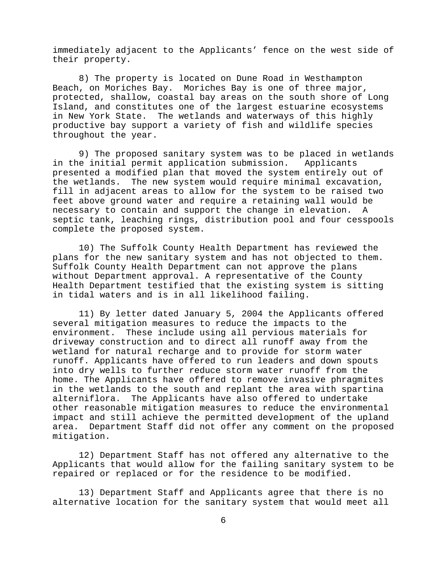immediately adjacent to the Applicants' fence on the west side of their property.

8) The property is located on Dune Road in Westhampton Beach, on Moriches Bay. Moriches Bay is one of three major, protected, shallow, coastal bay areas on the south shore of Long Island, and constitutes one of the largest estuarine ecosystems in New York State. The wetlands and waterways of this highly productive bay support a variety of fish and wildlife species throughout the year.

9) The proposed sanitary system was to be placed in wetlands in the initial permit application submission. Applicants presented a modified plan that moved the system entirely out of the wetlands. The new system would require minimal excavation, fill in adjacent areas to allow for the system to be raised two feet above ground water and require a retaining wall would be necessary to contain and support the change in elevation. A septic tank, leaching rings, distribution pool and four cesspools complete the proposed system.

10) The Suffolk County Health Department has reviewed the plans for the new sanitary system and has not objected to them. Suffolk County Health Department can not approve the plans without Department approval. A representative of the County Health Department testified that the existing system is sitting in tidal waters and is in all likelihood failing.

11) By letter dated January 5, 2004 the Applicants offered several mitigation measures to reduce the impacts to the environment. These include using all pervious materials for driveway construction and to direct all runoff away from the wetland for natural recharge and to provide for storm water runoff. Applicants have offered to run leaders and down spouts into dry wells to further reduce storm water runoff from the home. The Applicants have offered to remove invasive phragmites in the wetlands to the south and replant the area with spartina alterniflora. The Applicants have also offered to undertake other reasonable mitigation measures to reduce the environmental impact and still achieve the permitted development of the upland area. Department Staff did not offer any comment on the proposed mitigation.

12) Department Staff has not offered any alternative to the Applicants that would allow for the failing sanitary system to be repaired or replaced or for the residence to be modified.

13) Department Staff and Applicants agree that there is no alternative location for the sanitary system that would meet all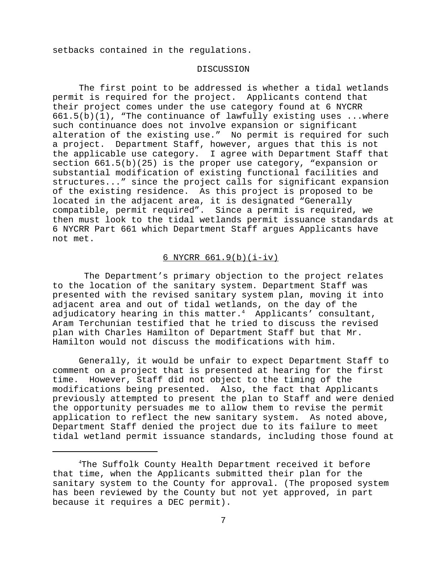setbacks contained in the regulations.

## DISCUSSION

 The first point to be addressed is whether a tidal wetlands permit is required for the project. Applicants contend that their project comes under the use category found at 6 NYCRR  $661.5(b)(1)$ , "The continuance of lawfully existing uses ... where such continuance does not involve expansion or significant alteration of the existing use." No permit is required for such a project. Department Staff, however, argues that this is not the applicable use category. I agree with Department Staff that section 661.5(b)(25) is the proper use category, "expansion or substantial modification of existing functional facilities and structures..." since the project calls for significant expansion of the existing residence. As this project is proposed to be located in the adjacent area, it is designated "Generally compatible, permit required". Since a permit is required, we then must look to the tidal wetlands permit issuance standards at 6 NYCRR Part 661 which Department Staff argues Applicants have not met.

# 6 NYCRR 661.9(b)(i-iv)

 The Department's primary objection to the project relates to the location of the sanitary system. Department Staff was presented with the revised sanitary system plan, moving it into adjacent area and out of tidal wetlands, on the day of the adjudicatory hearing in this matter. $4$  Applicants' consultant, Aram Terchunian testified that he tried to discuss the revised plan with Charles Hamilton of Department Staff but that Mr. Hamilton would not discuss the modifications with him.

Generally, it would be unfair to expect Department Staff to comment on a project that is presented at hearing for the first time. However, Staff did not object to the timing of the modifications being presented. Also, the fact that Applicants previously attempted to present the plan to Staff and were denied the opportunity persuades me to allow them to revise the permit application to reflect the new sanitary system. As noted above, Department Staff denied the project due to its failure to meet tidal wetland permit issuance standards, including those found at

<sup>4</sup> The Suffolk County Health Department received it before that time, when the Applicants submitted their plan for the sanitary system to the County for approval. (The proposed system has been reviewed by the County but not yet approved, in part because it requires a DEC permit).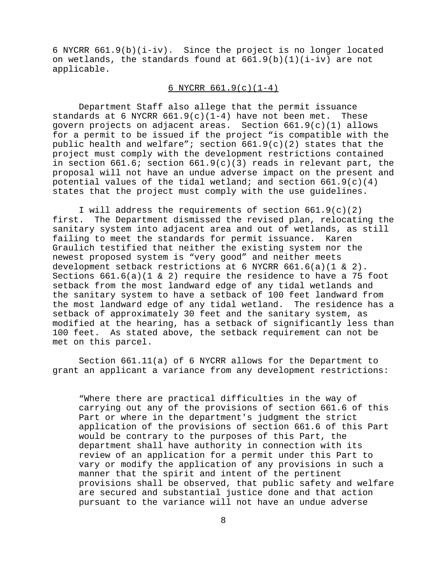6 NYCRR 661.9(b)(i-iv). Since the project is no longer located on wetlands, the standards found at  $661.9(b)(1)(i-iv)$  are not applicable.

# 6 NYCRR 661.9(c)(1-4)

Department Staff also allege that the permit issuance standards at 6 NYCRR  $661.9(c)(1-4)$  have not been met. These govern projects on adjacent areas. Section  $661.9(c)(1)$  allows for a permit to be issued if the project "is compatible with the public health and welfare"; section  $661.9(c)(2)$  states that the project must comply with the development restrictions contained in section  $661.6$ ; section  $661.9(c)(3)$  reads in relevant part, the proposal will not have an undue adverse impact on the present and potential values of the tidal wetland; and section  $661.9(c)(4)$ states that the project must comply with the use guidelines.

I will address the requirements of section  $661.9(c)(2)$ first. The Department dismissed the revised plan, relocating the sanitary system into adjacent area and out of wetlands, as still failing to meet the standards for permit issuance. Karen Graulich testified that neither the existing system nor the newest proposed system is "very good" and neither meets development setback restrictions at 6 NYCRR  $661.6(a)(1 & 2)$ . Sections 661.6(a)(1 & 2) require the residence to have a 75 foot setback from the most landward edge of any tidal wetlands and the sanitary system to have a setback of 100 feet landward from the most landward edge of any tidal wetland. The residence has a setback of approximately 30 feet and the sanitary system, as modified at the hearing, has a setback of significantly less than 100 feet. As stated above, the setback requirement can not be met on this parcel.

Section 661.11(a) of 6 NYCRR allows for the Department to grant an applicant a variance from any development restrictions:

"Where there are practical difficulties in the way of carrying out any of the provisions of section 661.6 of this Part or where in the department's judgment the strict application of the provisions of section 661.6 of this Part would be contrary to the purposes of this Part, the department shall have authority in connection with its review of an application for a permit under this Part to vary or modify the application of any provisions in such a manner that the spirit and intent of the pertinent provisions shall be observed, that public safety and welfare are secured and substantial justice done and that action pursuant to the variance will not have an undue adverse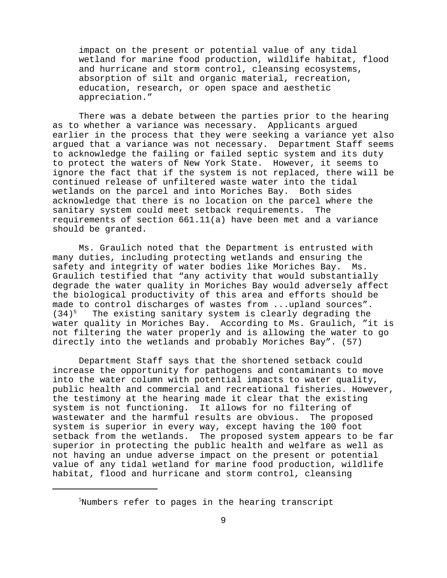impact on the present or potential value of any tidal wetland for marine food production, wildlife habitat, flood and hurricane and storm control, cleansing ecosystems, absorption of silt and organic material, recreation, education, research, or open space and aesthetic appreciation."

There was a debate between the parties prior to the hearing as to whether a variance was necessary. Applicants argued earlier in the process that they were seeking a variance yet also argued that a variance was not necessary. Department Staff seems to acknowledge the failing or failed septic system and its duty to protect the waters of New York State. However, it seems to ignore the fact that if the system is not replaced, there will be continued release of unfiltered waste water into the tidal wetlands on the parcel and into Moriches Bay. Both sides acknowledge that there is no location on the parcel where the sanitary system could meet setback requirements. The requirements of section 661.11(a) have been met and a variance should be granted.

Ms. Graulich noted that the Department is entrusted with many duties, including protecting wetlands and ensuring the safety and integrity of water bodies like Moriches Bay. Ms. Graulich testified that "any activity that would substantially degrade the water quality in Moriches Bay would adversely affect the biological productivity of this area and efforts should be made to control discharges of wastes from ...upland sources".  $(34)^5$  The existing sanitary system is clearly degrading the water quality in Moriches Bay. According to Ms. Graulich, "it is not filtering the water properly and is allowing the water to go directly into the wetlands and probably Moriches Bay". (57)

Department Staff says that the shortened setback could increase the opportunity for pathogens and contaminants to move into the water column with potential impacts to water quality, public health and commercial and recreational fisheries. However, the testimony at the hearing made it clear that the existing system is not functioning. It allows for no filtering of wastewater and the harmful results are obvious. The proposed system is superior in every way, except having the 100 foot setback from the wetlands. The proposed system appears to be far superior in protecting the public health and welfare as well as not having an undue adverse impact on the present or potential value of any tidal wetland for marine food production, wildlife habitat, flood and hurricane and storm control, cleansing

5 Numbers refer to pages in the hearing transcript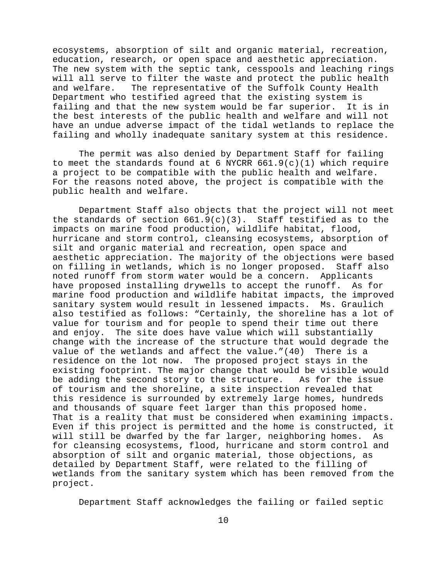ecosystems, absorption of silt and organic material, recreation, education, research, or open space and aesthetic appreciation. The new system with the septic tank, cesspools and leaching rings will all serve to filter the waste and protect the public health and welfare. The representative of the Suffolk County Health Department who testified agreed that the existing system is failing and that the new system would be far superior. It is in the best interests of the public health and welfare and will not have an undue adverse impact of the tidal wetlands to replace the failing and wholly inadequate sanitary system at this residence.

The permit was also denied by Department Staff for failing to meet the standards found at 6 NYCRR  $661.9(c)(1)$  which require a project to be compatible with the public health and welfare. For the reasons noted above, the project is compatible with the public health and welfare.

Department Staff also objects that the project will not meet the standards of section  $661.9(c)(3)$ . Staff testified as to the impacts on marine food production, wildlife habitat, flood, hurricane and storm control, cleansing ecosystems, absorption of silt and organic material and recreation, open space and aesthetic appreciation. The majority of the objections were based on filling in wetlands, which is no longer proposed. Staff also noted runoff from storm water would be a concern. Applicants have proposed installing drywells to accept the runoff. As for marine food production and wildlife habitat impacts, the improved sanitary system would result in lessened impacts. Ms. Graulich also testified as follows: "Certainly, the shoreline has a lot of value for tourism and for people to spend their time out there and enjoy. The site does have value which will substantially change with the increase of the structure that would degrade the value of the wetlands and affect the value."(40) There is a residence on the lot now. The proposed project stays in the existing footprint. The major change that would be visible would be adding the second story to the structure. As for the issue of tourism and the shoreline, a site inspection revealed that this residence is surrounded by extremely large homes, hundreds and thousands of square feet larger than this proposed home. That is a reality that must be considered when examining impacts. Even if this project is permitted and the home is constructed, it will still be dwarfed by the far larger, neighboring homes. As for cleansing ecosystems, flood, hurricane and storm control and absorption of silt and organic material, those objections, as detailed by Department Staff, were related to the filling of wetlands from the sanitary system which has been removed from the project.

Department Staff acknowledges the failing or failed septic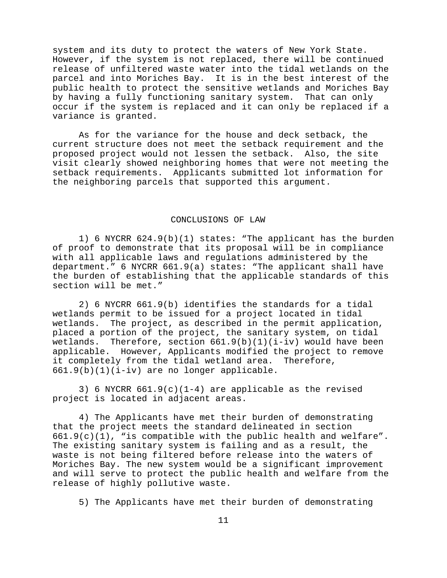system and its duty to protect the waters of New York State. However, if the system is not replaced, there will be continued release of unfiltered waste water into the tidal wetlands on the parcel and into Moriches Bay. It is in the best interest of the public health to protect the sensitive wetlands and Moriches Bay by having a fully functioning sanitary system. That can only occur if the system is replaced and it can only be replaced if a variance is granted.

As for the variance for the house and deck setback, the current structure does not meet the setback requirement and the proposed project would not lessen the setback. Also, the site visit clearly showed neighboring homes that were not meeting the setback requirements. Applicants submitted lot information for the neighboring parcels that supported this argument.

### CONCLUSIONS OF LAW

1) 6 NYCRR 624.9(b)(1) states: "The applicant has the burden of proof to demonstrate that its proposal will be in compliance with all applicable laws and regulations administered by the department." 6 NYCRR 661.9(a) states: "The applicant shall have the burden of establishing that the applicable standards of this section will be met."

2) 6 NYCRR 661.9(b) identifies the standards for a tidal wetlands permit to be issued for a project located in tidal wetlands. The project, as described in the permit application, placed a portion of the project, the sanitary system, on tidal wetlands. Therefore, section  $661.9(b)(1)(i-iv)$  would have been applicable. However, Applicants modified the project to remove it completely from the tidal wetland area. Therefore, 661.9(b)(1)(i-iv) are no longer applicable.

3) 6 NYCRR  $661.9(c)(1-4)$  are applicable as the revised project is located in adjacent areas.

4) The Applicants have met their burden of demonstrating that the project meets the standard delineated in section  $661.9(c)(1)$ , "is compatible with the public health and welfare". The existing sanitary system is failing and as a result, the waste is not being filtered before release into the waters of Moriches Bay. The new system would be a significant improvement and will serve to protect the public health and welfare from the release of highly pollutive waste.

5) The Applicants have met their burden of demonstrating